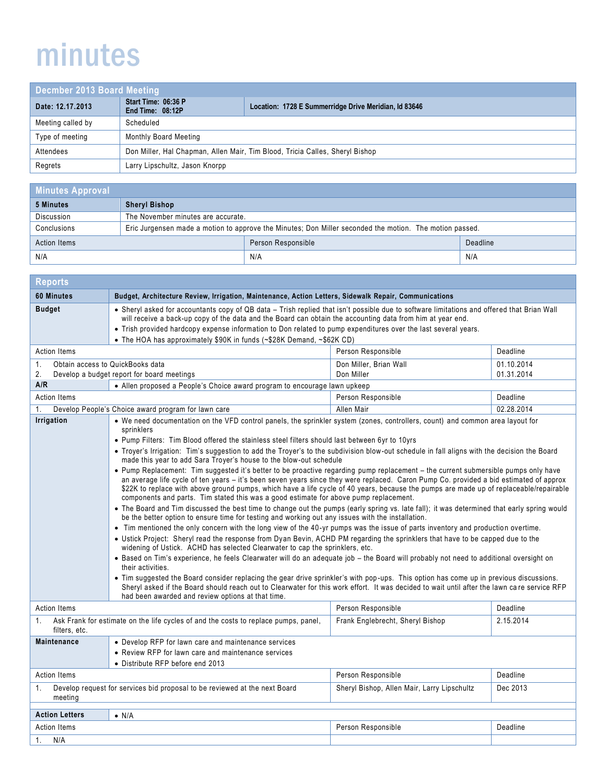## minutes

| <b>Decmber 2013 Board Meeting</b> |                                                                              |                                                       |
|-----------------------------------|------------------------------------------------------------------------------|-------------------------------------------------------|
| Date: 12.17.2013                  | Start Time: 06:36 P<br><b>End Time: 08:12P</b>                               | Location: 1728 E Summerridge Drive Meridian, Id 83646 |
| Meeting called by                 | Scheduled                                                                    |                                                       |
| Type of meeting                   | Monthly Board Meeting                                                        |                                                       |
| Attendees                         | Don Miller, Hal Chapman, Allen Mair, Tim Blood, Tricia Calles, Sheryl Bishop |                                                       |
| Regrets                           | Larry Lipschultz, Jason Knorpp                                               |                                                       |

| <b>Minutes Approval</b> |                                                                                                         |                    |          |
|-------------------------|---------------------------------------------------------------------------------------------------------|--------------------|----------|
| 5 Minutes               | <b>Sheryl Bishop</b>                                                                                    |                    |          |
| <b>Discussion</b>       | The November minutes are accurate.                                                                      |                    |          |
| Conclusions             | Eric Jurgensen made a motion to approve the Minutes; Don Miller seconded the motion. The motion passed. |                    |          |
| <b>Action Items</b>     |                                                                                                         | Person Responsible | Deadline |
| N/A                     |                                                                                                         | N/A                | N/A      |

| <b>60 Minutes</b><br>Budget, Architecture Review, Irrigation, Maintenance, Action Letters, Sidewalk Repair, Communications<br><b>Budget</b><br>• Sheryl asked for accountants copy of QB data – Trish replied that isn't possible due to software limitations and offered that Brian Wall<br>will receive a back-up copy of the data and the Board can obtain the accounting data from him at year end.<br>. Trish provided hardcopy expense information to Don related to pump expenditures over the last several years.<br>• The HOA has approximately \$90K in funds (~\$28K Demand, ~\$62K CD)<br><b>Action Items</b><br>Person Responsible<br>Deadline<br>1.<br>Obtain access to QuickBooks data<br>Don Miller, Brian Wall<br>01.10.2014<br>2.<br>Develop a budget report for board meetings<br>Don Miller<br>01.31.2014<br>A/R<br>• Allen proposed a People's Choice award program to encourage lawn upkeep<br><b>Action Items</b><br>Person Responsible<br>Deadline<br>02.28.2014<br>Develop People's Choice award program for lawn care<br>Allen Mair<br>1.<br>Irrigation<br>• We need documentation on the VFD control panels, the sprinkler system (zones, controllers, count) and common area layout for<br>sprinklers<br>• Pump Filters: Tim Blood offered the stainless steel filters should last between 6yr to 10yrs<br>. Troyer's Irrigation: Tim's suggestion to add the Troyer's to the subdivision blow-out schedule in fall aligns with the decision the Board<br>made this year to add Sara Troyer's house to the blow-out schedule<br>• Pump Replacement: Tim suggested it's better to be proactive regarding pump replacement - the current submersible pumps only have<br>an average life cycle of ten years – it's been seven years since they were replaced. Caron Pump Co. provided a bid estimated of approx<br>\$22K to replace with above ground pumps, which have a life cycle of 40 years, because the pumps are made up of replaceable/repairable<br>components and parts. Tim stated this was a good estimate for above pump replacement.<br>• The Board and Tim discussed the best time to change out the pumps (early spring vs. late fall); it was determined that early spring would<br>be the better option to ensure time for testing and working out any issues with the installation.<br>• Tim mentioned the only concern with the long view of the 40-yr pumps was the issue of parts inventory and production overtime.<br>• Ustick Project: Sheryl read the response from Dyan Bevin, ACHD PM regarding the sprinklers that have to be capped due to the<br>widening of Ustick. ACHD has selected Clearwater to cap the sprinklers, etc.<br>• Based on Tim's experience, he feels Clearwater will do an adequate job - the Board will probably not need to additional oversight on<br>their activities.<br>• Tim suggested the Board consider replacing the gear drive sprinkler's with pop-ups. This option has come up in previous discussions.<br>Sheryl asked if the Board should reach out to Clearwater for this work effort. It was decided to wait until after the lawn care service RFP<br>had been awarded and review options at that time.<br><b>Action Items</b><br>Person Responsible<br>Deadline<br>Ask Frank for estimate on the life cycles of and the costs to replace pumps, panel,<br>Frank Englebrecht, Sheryl Bishop<br>2.15.2014<br>1.<br>filters, etc.<br>Maintenance<br>• Develop RFP for lawn care and maintenance services<br>• Review RFP for lawn care and maintenance services<br>• Distribute RFP before end 2013<br><b>Action Items</b><br>Person Responsible<br>Deadline<br>Develop request for services bid proposal to be reviewed at the next Board<br>Sheryl Bishop, Allen Mair, Larry Lipschultz<br>Dec 2013<br>$1_{-}$<br>meeting<br><b>Action Letters</b><br>$\bullet$ N/A<br>Person Responsible<br><b>Action Items</b><br>Deadline<br>N/A<br>$1_{-}$ | <b>Reports</b> |  |  |  |
|-------------------------------------------------------------------------------------------------------------------------------------------------------------------------------------------------------------------------------------------------------------------------------------------------------------------------------------------------------------------------------------------------------------------------------------------------------------------------------------------------------------------------------------------------------------------------------------------------------------------------------------------------------------------------------------------------------------------------------------------------------------------------------------------------------------------------------------------------------------------------------------------------------------------------------------------------------------------------------------------------------------------------------------------------------------------------------------------------------------------------------------------------------------------------------------------------------------------------------------------------------------------------------------------------------------------------------------------------------------------------------------------------------------------------------------------------------------------------------------------------------------------------------------------------------------------------------------------------------------------------------------------------------------------------------------------------------------------------------------------------------------------------------------------------------------------------------------------------------------------------------------------------------------------------------------------------------------------------------------------------------------------------------------------------------------------------------------------------------------------------------------------------------------------------------------------------------------------------------------------------------------------------------------------------------------------------------------------------------------------------------------------------------------------------------------------------------------------------------------------------------------------------------------------------------------------------------------------------------------------------------------------------------------------------------------------------------------------------------------------------------------------------------------------------------------------------------------------------------------------------------------------------------------------------------------------------------------------------------------------------------------------------------------------------------------------------------------------------------------------------------------------------------------------------------------------------------------------------------------------------------------------------------------------------------------------------------------------------------------------------------------------------------------------------------------------------------------------------------------------------------------------------------------------------------------------------------------------------------------------------------------------------------------------------------------------------------------------------------------------------------------------------------------------------------------------------------------------------------------------------------------------------------------------------------------------|----------------|--|--|--|
|                                                                                                                                                                                                                                                                                                                                                                                                                                                                                                                                                                                                                                                                                                                                                                                                                                                                                                                                                                                                                                                                                                                                                                                                                                                                                                                                                                                                                                                                                                                                                                                                                                                                                                                                                                                                                                                                                                                                                                                                                                                                                                                                                                                                                                                                                                                                                                                                                                                                                                                                                                                                                                                                                                                                                                                                                                                                                                                                                                                                                                                                                                                                                                                                                                                                                                                                                                                                                                                                                                                                                                                                                                                                                                                                                                                                                                                                                                                                           |                |  |  |  |
|                                                                                                                                                                                                                                                                                                                                                                                                                                                                                                                                                                                                                                                                                                                                                                                                                                                                                                                                                                                                                                                                                                                                                                                                                                                                                                                                                                                                                                                                                                                                                                                                                                                                                                                                                                                                                                                                                                                                                                                                                                                                                                                                                                                                                                                                                                                                                                                                                                                                                                                                                                                                                                                                                                                                                                                                                                                                                                                                                                                                                                                                                                                                                                                                                                                                                                                                                                                                                                                                                                                                                                                                                                                                                                                                                                                                                                                                                                                                           |                |  |  |  |
|                                                                                                                                                                                                                                                                                                                                                                                                                                                                                                                                                                                                                                                                                                                                                                                                                                                                                                                                                                                                                                                                                                                                                                                                                                                                                                                                                                                                                                                                                                                                                                                                                                                                                                                                                                                                                                                                                                                                                                                                                                                                                                                                                                                                                                                                                                                                                                                                                                                                                                                                                                                                                                                                                                                                                                                                                                                                                                                                                                                                                                                                                                                                                                                                                                                                                                                                                                                                                                                                                                                                                                                                                                                                                                                                                                                                                                                                                                                                           |                |  |  |  |
|                                                                                                                                                                                                                                                                                                                                                                                                                                                                                                                                                                                                                                                                                                                                                                                                                                                                                                                                                                                                                                                                                                                                                                                                                                                                                                                                                                                                                                                                                                                                                                                                                                                                                                                                                                                                                                                                                                                                                                                                                                                                                                                                                                                                                                                                                                                                                                                                                                                                                                                                                                                                                                                                                                                                                                                                                                                                                                                                                                                                                                                                                                                                                                                                                                                                                                                                                                                                                                                                                                                                                                                                                                                                                                                                                                                                                                                                                                                                           |                |  |  |  |
|                                                                                                                                                                                                                                                                                                                                                                                                                                                                                                                                                                                                                                                                                                                                                                                                                                                                                                                                                                                                                                                                                                                                                                                                                                                                                                                                                                                                                                                                                                                                                                                                                                                                                                                                                                                                                                                                                                                                                                                                                                                                                                                                                                                                                                                                                                                                                                                                                                                                                                                                                                                                                                                                                                                                                                                                                                                                                                                                                                                                                                                                                                                                                                                                                                                                                                                                                                                                                                                                                                                                                                                                                                                                                                                                                                                                                                                                                                                                           |                |  |  |  |
|                                                                                                                                                                                                                                                                                                                                                                                                                                                                                                                                                                                                                                                                                                                                                                                                                                                                                                                                                                                                                                                                                                                                                                                                                                                                                                                                                                                                                                                                                                                                                                                                                                                                                                                                                                                                                                                                                                                                                                                                                                                                                                                                                                                                                                                                                                                                                                                                                                                                                                                                                                                                                                                                                                                                                                                                                                                                                                                                                                                                                                                                                                                                                                                                                                                                                                                                                                                                                                                                                                                                                                                                                                                                                                                                                                                                                                                                                                                                           |                |  |  |  |
|                                                                                                                                                                                                                                                                                                                                                                                                                                                                                                                                                                                                                                                                                                                                                                                                                                                                                                                                                                                                                                                                                                                                                                                                                                                                                                                                                                                                                                                                                                                                                                                                                                                                                                                                                                                                                                                                                                                                                                                                                                                                                                                                                                                                                                                                                                                                                                                                                                                                                                                                                                                                                                                                                                                                                                                                                                                                                                                                                                                                                                                                                                                                                                                                                                                                                                                                                                                                                                                                                                                                                                                                                                                                                                                                                                                                                                                                                                                                           |                |  |  |  |
|                                                                                                                                                                                                                                                                                                                                                                                                                                                                                                                                                                                                                                                                                                                                                                                                                                                                                                                                                                                                                                                                                                                                                                                                                                                                                                                                                                                                                                                                                                                                                                                                                                                                                                                                                                                                                                                                                                                                                                                                                                                                                                                                                                                                                                                                                                                                                                                                                                                                                                                                                                                                                                                                                                                                                                                                                                                                                                                                                                                                                                                                                                                                                                                                                                                                                                                                                                                                                                                                                                                                                                                                                                                                                                                                                                                                                                                                                                                                           |                |  |  |  |
|                                                                                                                                                                                                                                                                                                                                                                                                                                                                                                                                                                                                                                                                                                                                                                                                                                                                                                                                                                                                                                                                                                                                                                                                                                                                                                                                                                                                                                                                                                                                                                                                                                                                                                                                                                                                                                                                                                                                                                                                                                                                                                                                                                                                                                                                                                                                                                                                                                                                                                                                                                                                                                                                                                                                                                                                                                                                                                                                                                                                                                                                                                                                                                                                                                                                                                                                                                                                                                                                                                                                                                                                                                                                                                                                                                                                                                                                                                                                           |                |  |  |  |
|                                                                                                                                                                                                                                                                                                                                                                                                                                                                                                                                                                                                                                                                                                                                                                                                                                                                                                                                                                                                                                                                                                                                                                                                                                                                                                                                                                                                                                                                                                                                                                                                                                                                                                                                                                                                                                                                                                                                                                                                                                                                                                                                                                                                                                                                                                                                                                                                                                                                                                                                                                                                                                                                                                                                                                                                                                                                                                                                                                                                                                                                                                                                                                                                                                                                                                                                                                                                                                                                                                                                                                                                                                                                                                                                                                                                                                                                                                                                           |                |  |  |  |
|                                                                                                                                                                                                                                                                                                                                                                                                                                                                                                                                                                                                                                                                                                                                                                                                                                                                                                                                                                                                                                                                                                                                                                                                                                                                                                                                                                                                                                                                                                                                                                                                                                                                                                                                                                                                                                                                                                                                                                                                                                                                                                                                                                                                                                                                                                                                                                                                                                                                                                                                                                                                                                                                                                                                                                                                                                                                                                                                                                                                                                                                                                                                                                                                                                                                                                                                                                                                                                                                                                                                                                                                                                                                                                                                                                                                                                                                                                                                           |                |  |  |  |
|                                                                                                                                                                                                                                                                                                                                                                                                                                                                                                                                                                                                                                                                                                                                                                                                                                                                                                                                                                                                                                                                                                                                                                                                                                                                                                                                                                                                                                                                                                                                                                                                                                                                                                                                                                                                                                                                                                                                                                                                                                                                                                                                                                                                                                                                                                                                                                                                                                                                                                                                                                                                                                                                                                                                                                                                                                                                                                                                                                                                                                                                                                                                                                                                                                                                                                                                                                                                                                                                                                                                                                                                                                                                                                                                                                                                                                                                                                                                           |                |  |  |  |
|                                                                                                                                                                                                                                                                                                                                                                                                                                                                                                                                                                                                                                                                                                                                                                                                                                                                                                                                                                                                                                                                                                                                                                                                                                                                                                                                                                                                                                                                                                                                                                                                                                                                                                                                                                                                                                                                                                                                                                                                                                                                                                                                                                                                                                                                                                                                                                                                                                                                                                                                                                                                                                                                                                                                                                                                                                                                                                                                                                                                                                                                                                                                                                                                                                                                                                                                                                                                                                                                                                                                                                                                                                                                                                                                                                                                                                                                                                                                           |                |  |  |  |
|                                                                                                                                                                                                                                                                                                                                                                                                                                                                                                                                                                                                                                                                                                                                                                                                                                                                                                                                                                                                                                                                                                                                                                                                                                                                                                                                                                                                                                                                                                                                                                                                                                                                                                                                                                                                                                                                                                                                                                                                                                                                                                                                                                                                                                                                                                                                                                                                                                                                                                                                                                                                                                                                                                                                                                                                                                                                                                                                                                                                                                                                                                                                                                                                                                                                                                                                                                                                                                                                                                                                                                                                                                                                                                                                                                                                                                                                                                                                           |                |  |  |  |
|                                                                                                                                                                                                                                                                                                                                                                                                                                                                                                                                                                                                                                                                                                                                                                                                                                                                                                                                                                                                                                                                                                                                                                                                                                                                                                                                                                                                                                                                                                                                                                                                                                                                                                                                                                                                                                                                                                                                                                                                                                                                                                                                                                                                                                                                                                                                                                                                                                                                                                                                                                                                                                                                                                                                                                                                                                                                                                                                                                                                                                                                                                                                                                                                                                                                                                                                                                                                                                                                                                                                                                                                                                                                                                                                                                                                                                                                                                                                           |                |  |  |  |
|                                                                                                                                                                                                                                                                                                                                                                                                                                                                                                                                                                                                                                                                                                                                                                                                                                                                                                                                                                                                                                                                                                                                                                                                                                                                                                                                                                                                                                                                                                                                                                                                                                                                                                                                                                                                                                                                                                                                                                                                                                                                                                                                                                                                                                                                                                                                                                                                                                                                                                                                                                                                                                                                                                                                                                                                                                                                                                                                                                                                                                                                                                                                                                                                                                                                                                                                                                                                                                                                                                                                                                                                                                                                                                                                                                                                                                                                                                                                           |                |  |  |  |